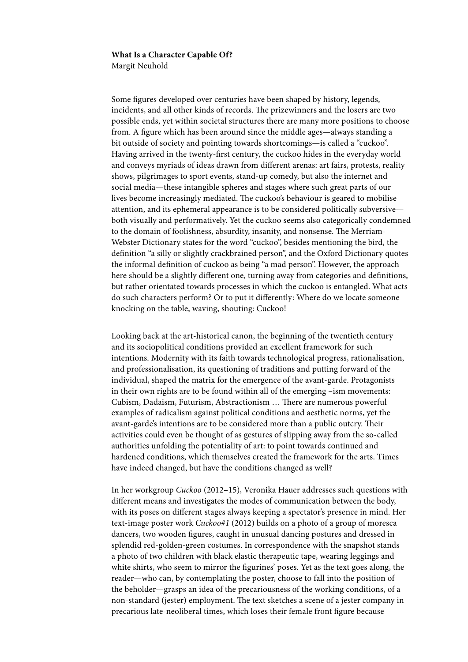## **What Is a Character Capable Of?**

Margit Neuhold

Some figures developed over centuries have been shaped by history, legends, incidents, and all other kinds of records. The prizewinners and the losers are two possible ends, yet within societal structures there are many more positions to choose from. A figure which has been around since the middle ages—always standing a bit outside of society and pointing towards shortcomings—is called a "cuckoo". Having arrived in the twenty-first century, the cuckoo hides in the everyday world and conveys myriads of ideas drawn from different arenas: art fairs, protests, reality shows, pilgrimages to sport events, stand-up comedy, but also the internet and social media—these intangible spheres and stages where such great parts of our lives become increasingly mediated. The cuckoo's behaviour is geared to mobilise attention, and its ephemeral appearance is to be considered politically subversive both visually and performatively. Yet the cuckoo seems also categorically condemned to the domain of foolishness, absurdity, insanity, and nonsense. The Merriam-Webster Dictionary states for the word "cuckoo", besides mentioning the bird, the definition "a silly or slightly crackbrained person", and the Oxford Dictionary quotes the informal definition of cuckoo as being "a mad person". However, the approach here should be a slightly different one, turning away from categories and definitions, but rather orientated towards processes in which the cuckoo is entangled. What acts do such characters perform? Or to put it differently: Where do we locate someone knocking on the table, waving, shouting: Cuckoo!

Looking back at the art-historical canon, the beginning of the twentieth century and its sociopolitical conditions provided an excellent framework for such intentions. Modernity with its faith towards technological progress, rationalisation, and professionalisation, its questioning of traditions and putting forward of the individual, shaped the matrix for the emergence of the avant-garde. Protagonists in their own rights are to be found within all of the emerging –ism movements: Cubism, Dadaism, Futurism, Abstractionism … There are numerous powerful examples of radicalism against political conditions and aesthetic norms, yet the avant-garde's intentions are to be considered more than a public outcry. Their activities could even be thought of as gestures of slipping away from the so-called authorities unfolding the potentiality of art: to point towards continued and hardened conditions, which themselves created the framework for the arts. Times have indeed changed, but have the conditions changed as well?

In her workgroup *Cuckoo* (2012–15), Veronika Hauer addresses such questions with different means and investigates the modes of communication between the body, with its poses on different stages always keeping a spectator's presence in mind. Her text-image poster work *Cuckoo#1* (2012) builds on a photo of a group of moresca dancers, two wooden figures, caught in unusual dancing postures and dressed in splendid red-golden-green costumes. In correspondence with the snapshot stands a photo of two children with black elastic therapeutic tape, wearing leggings and white shirts, who seem to mirror the figurines' poses. Yet as the text goes along, the reader—who can, by contemplating the poster, choose to fall into the position of the beholder—grasps an idea of the precariousness of the working conditions, of a non-standard (jester) employment. The text sketches a scene of a jester company in precarious late-neoliberal times, which loses their female front figure because